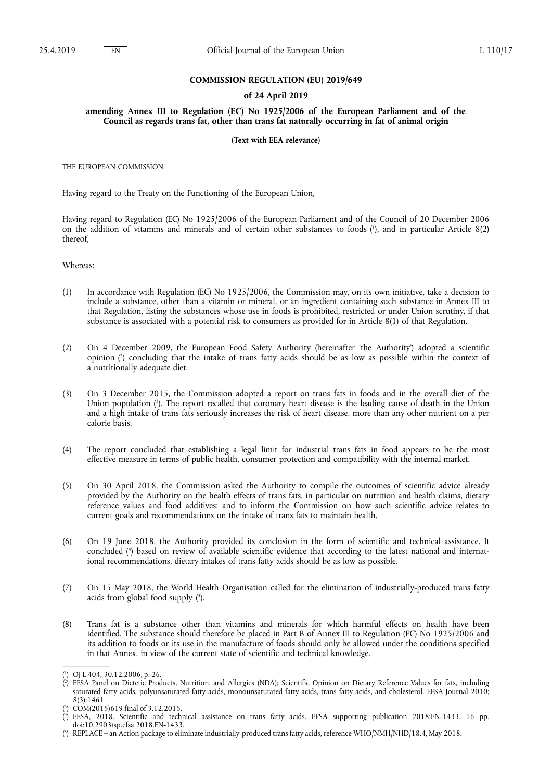## **COMMISSION REGULATION (EU) 2019/649**

#### **of 24 April 2019**

**amending Annex III to Regulation (EC) No 1925/2006 of the European Parliament and of the Council as regards trans fat, other than trans fat naturally occurring in fat of animal origin** 

**(Text with EEA relevance)** 

THE EUROPEAN COMMISSION,

Having regard to the Treaty on the Functioning of the European Union,

Having regard to Regulation (EC) No 1925/2006 of the European Parliament and of the Council of 20 December 2006 on the addition of vitamins and minerals and of certain other substances to foods ( 1 ), and in particular Article 8(2) thereof,

Whereas:

- (1) In accordance with Regulation (EC) No 1925/2006, the Commission may, on its own initiative, take a decision to include a substance, other than a vitamin or mineral, or an ingredient containing such substance in Annex III to that Regulation, listing the substances whose use in foods is prohibited, restricted or under Union scrutiny, if that substance is associated with a potential risk to consumers as provided for in Article 8(1) of that Regulation.
- (2) On 4 December 2009, the European Food Safety Authority (hereinafter 'the Authority') adopted a scientific opinion ( 2 ) concluding that the intake of trans fatty acids should be as low as possible within the context of a nutritionally adequate diet.
- (3) On 3 December 2015, the Commission adopted a report on trans fats in foods and in the overall diet of the Union population ( 3 ). The report recalled that coronary heart disease is the leading cause of death in the Union and a high intake of trans fats seriously increases the risk of heart disease, more than any other nutrient on a per calorie basis.
- (4) The report concluded that establishing a legal limit for industrial trans fats in food appears to be the most effective measure in terms of public health, consumer protection and compatibility with the internal market.
- (5) On 30 April 2018, the Commission asked the Authority to compile the outcomes of scientific advice already provided by the Authority on the health effects of trans fats, in particular on nutrition and health claims, dietary reference values and food additives; and to inform the Commission on how such scientific advice relates to current goals and recommendations on the intake of trans fats to maintain health.
- (6) On 19 June 2018, the Authority provided its conclusion in the form of scientific and technical assistance. It concluded ( 4 ) based on review of available scientific evidence that according to the latest national and international recommendations, dietary intakes of trans fatty acids should be as low as possible.
- (7) On 15 May 2018, the World Health Organisation called for the elimination of industrially-produced trans fatty acids from global food supply ( 5 ).
- (8) Trans fat is a substance other than vitamins and minerals for which harmful effects on health have been identified. The substance should therefore be placed in Part B of Annex III to Regulation (EC) No 1925/2006 and its addition to foods or its use in the manufacture of foods should only be allowed under the conditions specified in that Annex, in view of the current state of scientific and technical knowledge.

<sup>(</sup> 1 ) OJ L 404, 30.12.2006, p. 26.

<sup>(</sup> 2 ) EFSA Panel on Dietetic Products, Nutrition, and Allergies (NDA); Scientific Opinion on Dietary Reference Values for fats, including saturated fatty acids, polyunsaturated fatty acids, monounsaturated fatty acids, trans fatty acids, and cholesterol. EFSA Journal 2010; 8(3):1461.

<sup>(</sup> 3 ) COM(2015)619 final of 3.12.2015.

 $($ <sup>4</sup> ) EFSA, 2018. Scientific and technical assistance on trans fatty acids. EFSA supporting publication 2018:EN-1433. 16 pp. doi:10.2903/sp.efsa.2018.EN-1433.

<sup>(</sup> 5 ) REPLACE – an Action package to eliminate industrially-produced trans fatty acids, reference WHO/NMH/NHD/18.4, May 2018.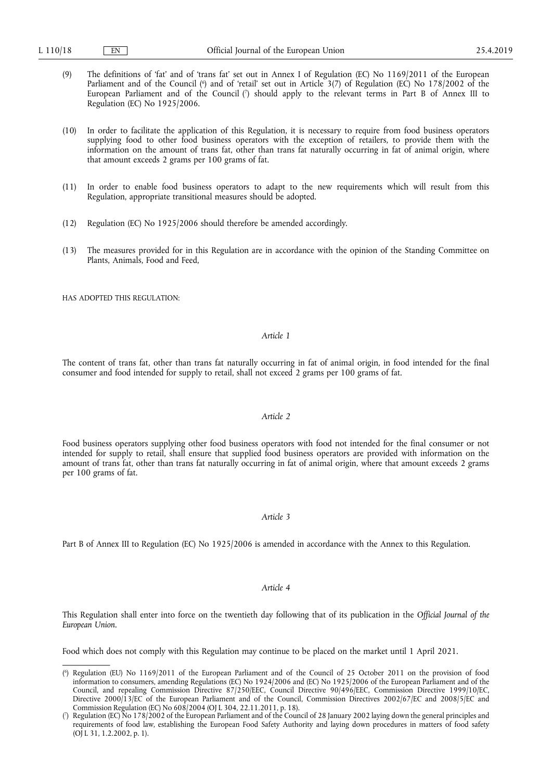- (9) The definitions of 'fat' and of 'trans fat' set out in Annex I of Regulation (EC) No 1169/2011 of the European Parliament and of the Council (\*) and of 'retail' set out in Article 3(7) of Regulation (EC) No 178/2002 of the European Parliament and of the Council ( 7 ) should apply to the relevant terms in Part B of Annex III to Regulation (EC) No 1925/2006.
- (10) In order to facilitate the application of this Regulation, it is necessary to require from food business operators supplying food to other food business operators with the exception of retailers, to provide them with the information on the amount of trans fat, other than trans fat naturally occurring in fat of animal origin, where that amount exceeds 2 grams per 100 grams of fat.
- (11) In order to enable food business operators to adapt to the new requirements which will result from this Regulation, appropriate transitional measures should be adopted.
- (12) Regulation (EC) No 1925/2006 should therefore be amended accordingly.
- (13) The measures provided for in this Regulation are in accordance with the opinion of the Standing Committee on Plants, Animals, Food and Feed,

HAS ADOPTED THIS REGULATION:

### *Article 1*

The content of trans fat, other than trans fat naturally occurring in fat of animal origin, in food intended for the final consumer and food intended for supply to retail, shall not exceed 2 grams per 100 grams of fat.

## *Article 2*

Food business operators supplying other food business operators with food not intended for the final consumer or not intended for supply to retail, shall ensure that supplied food business operators are provided with information on the amount of trans fat, other than trans fat naturally occurring in fat of animal origin, where that amount exceeds 2 grams per 100 grams of fat.

#### *Article 3*

Part B of Annex III to Regulation (EC) No 1925/2006 is amended in accordance with the Annex to this Regulation.

### *Article 4*

This Regulation shall enter into force on the twentieth day following that of its publication in the *Official Journal of the European Union*.

Food which does not comply with this Regulation may continue to be placed on the market until 1 April 2021.

<sup>(</sup> 6 ) Regulation (EU) No 1169/2011 of the European Parliament and of the Council of 25 October 2011 on the provision of food information to consumers, amending Regulations (EC) No 1924/2006 and (EC) No 1925/2006 of the European Parliament and of the Council, and repealing Commission Directive 87/250/EEC, Council Directive 90/496/EEC, Commission Directive 1999/10/EC, Directive 2000/13/EC of the European Parliament and of the Council, Commission Directives 2002/67/EC and 2008/5/EC and Commission Regulation (EC) No 608/2004 (OJ L 304, 22.11.2011, p. 18).

<sup>(</sup> 7 ) Regulation (EC) No 178/2002 of the European Parliament and of the Council of 28 January 2002 laying down the general principles and requirements of food law, establishing the European Food Safety Authority and laying down procedures in matters of food safety (OJ L 31, 1.2.2002, p. 1).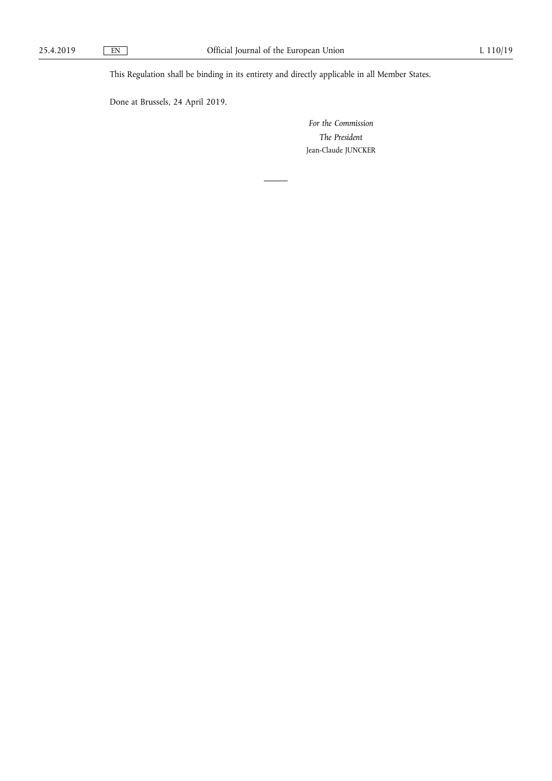This Regulation shall be binding in its entirety and directly applicable in all Member States.

Done at Brussels, 24 April 2019.

*For the Commission The President*  Jean-Claude JUNCKER